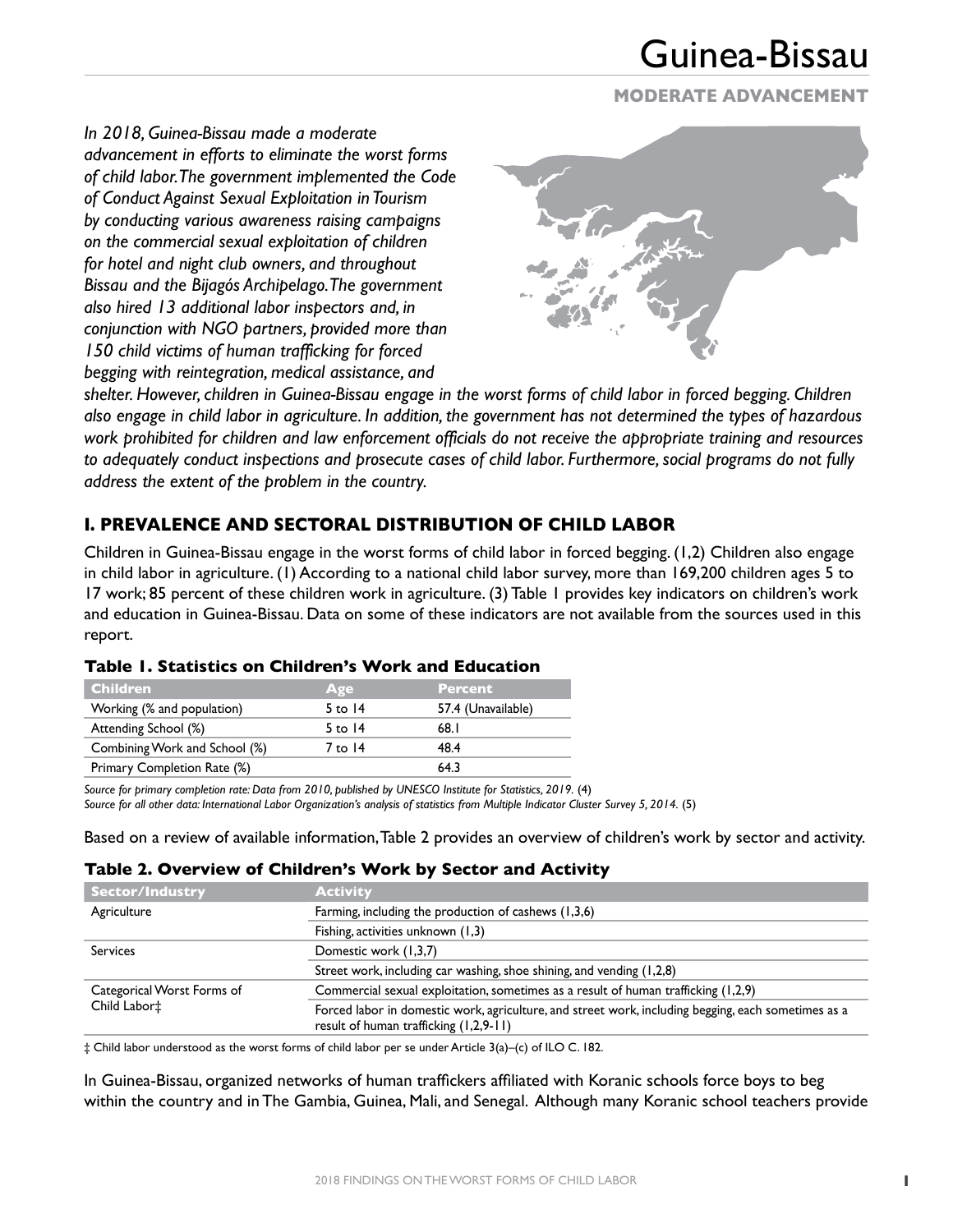# **MODERATE ADVANCEMENT**

*In 2018, Guinea-Bissau made a moderate advancement in efforts to eliminate the worst forms of child labor. The government implemented the Code of Conduct Against Sexual Exploitation in Tourism by conducting various awareness raising campaigns on the commercial sexual exploitation of children for hotel and night club owners, and throughout Bissau and the Bijagós Archipelago. The government also hired 13 additional labor inspectors and, in conjunction with NGO partners, provided more than 150 child victims of human trafficking for forced begging with reintegration, medical assistance, and* 



*shelter. However, children in Guinea-Bissau engage in the worst forms of child labor in forced begging. Children also engage in child labor in agriculture. In addition, the government has not determined the types of hazardous work prohibited for children and law enforcement officials do not receive the appropriate training and resources to adequately conduct inspections and prosecute cases of child labor. Furthermore, social programs do not fully address the extent of the problem in the country.*

# **I. PREVALENCE AND SECTORAL DISTRIBUTION OF CHILD LABOR**

Children in Guinea-Bissau engage in the worst forms of child labor in forced begging. (1,2) Children also engage in child labor in agriculture. (1) According to a national child labor survey, more than 169,200 children ages 5 to 17 work; 85 percent of these children work in agriculture. (3) Table 1 provides key indicators on children's work and education in Guinea-Bissau. Data on some of these indicators are not available from the sources used in this report.

| <b>Children</b>               | Age       | <b>Percent</b>     |
|-------------------------------|-----------|--------------------|
| Working (% and population)    | 5 to $14$ | 57.4 (Unavailable) |
| Attending School (%)          | 5 to $14$ | 68.I               |
| Combining Work and School (%) | 7 to 14   | 48.4               |
| Primary Completion Rate (%)   |           | 64.3               |

## **Table 1. Statistics on Children's Work and Education**

*Source for primary completion rate: Data from 2010, published by UNESCO Institute for Statistics, 2019.* (4) *Source for all other data: International Labor Organization's analysis of statistics from Multiple Indicator Cluster Survey 5, 2014.* (5)

Based on a review of available information, Table 2 provides an overview of children's work by sector and activity.

#### **Table 2. Overview of Children's Work by Sector and Activity**

| Sector/Industry            | <b>Activity</b>                                                                                                                                 |
|----------------------------|-------------------------------------------------------------------------------------------------------------------------------------------------|
| Agriculture                | Farming, including the production of cashews (1,3,6)                                                                                            |
|                            | Fishing, activities unknown (1,3)                                                                                                               |
| <b>Services</b>            | Domestic work (1,3,7)                                                                                                                           |
|                            | Street work, including car washing, shoe shining, and vending (1,2,8)                                                                           |
| Categorical Worst Forms of | Commercial sexual exploitation, sometimes as a result of human trafficking (1,2,9)                                                              |
| Child Labor <sup>+</sup>   | Forced labor in domestic work, agriculture, and street work, including begging, each sometimes as a<br>result of human trafficking $(1,2,9-11)$ |

‡ Child labor understood as the worst forms of child labor per se under Article 3(a)–(c) of ILO C. 182.

In Guinea-Bissau, organized networks of human traffickers affiliated with Koranic schools force boys to beg within the country and in The Gambia, Guinea, Mali, and Senegal. Although many Koranic school teachers provide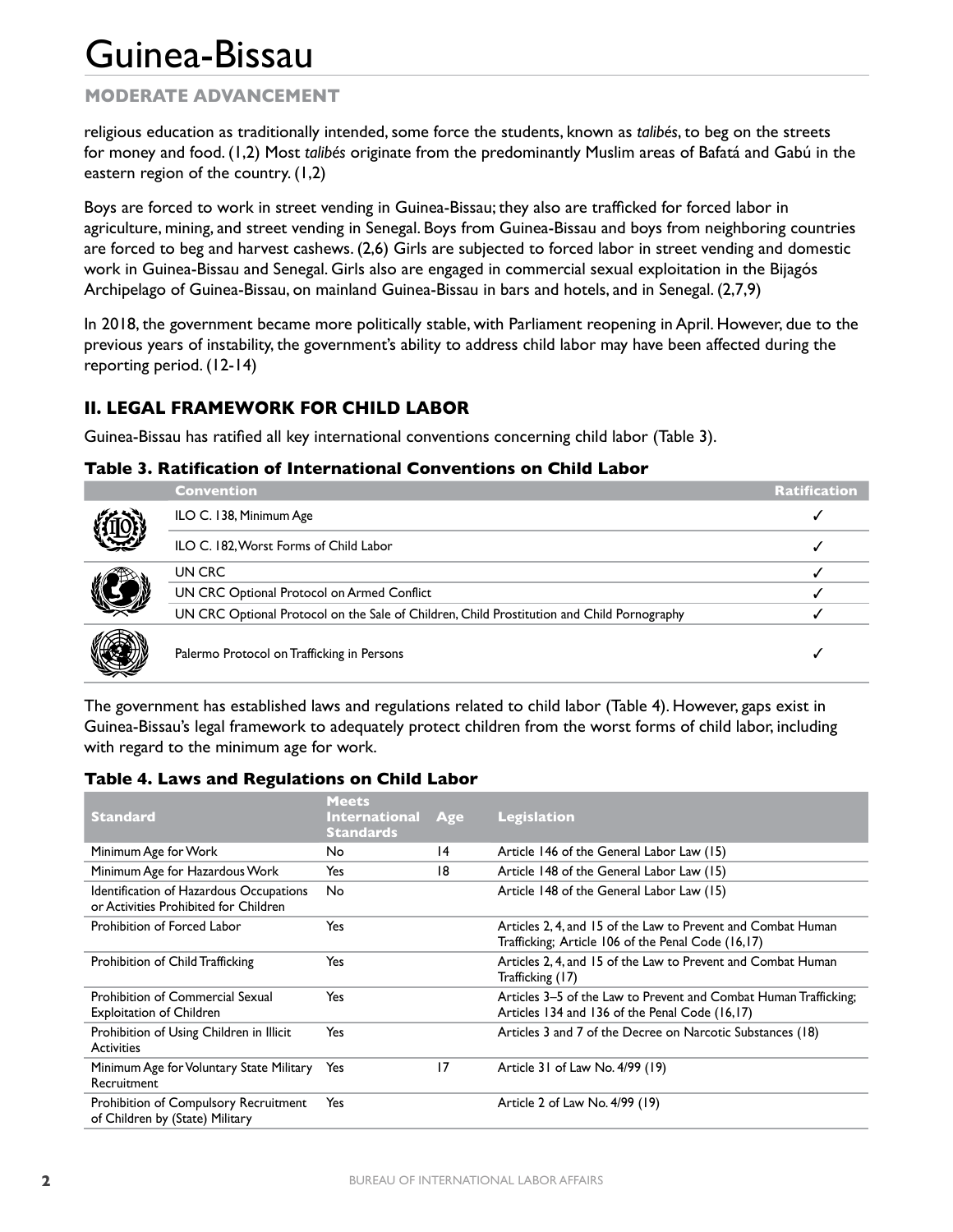# **MODERATE ADVANCEMENT**

religious education as traditionally intended, some force the students, known as *talibés*, to beg on the streets for money and food. (1,2) Most *talibés* originate from the predominantly Muslim areas of Bafatá and Gabú in the eastern region of the country. (1,2)

Boys are forced to work in street vending in Guinea-Bissau; they also are trafficked for forced labor in agriculture, mining, and street vending in Senegal. Boys from Guinea-Bissau and boys from neighboring countries are forced to beg and harvest cashews. (2,6) Girls are subjected to forced labor in street vending and domestic work in Guinea-Bissau and Senegal. Girls also are engaged in commercial sexual exploitation in the Bijagós Archipelago of Guinea-Bissau, on mainland Guinea-Bissau in bars and hotels, and in Senegal. (2,7,9)

In 2018, the government became more politically stable, with Parliament reopening in April. However, due to the previous years of instability, the government's ability to address child labor may have been affected during the reporting period. (12-14)

# **II. LEGAL FRAMEWORK FOR CHILD LABOR**

Guinea-Bissau has ratified all key international conventions concerning child labor (Table 3).

### **Table 3. Ratification of International Conventions on Child Labor**

|  | <b>Convention</b>                                                                          | <b>Ratification</b> |
|--|--------------------------------------------------------------------------------------------|---------------------|
|  | ILO C. 138, Minimum Age                                                                    |                     |
|  | ILO C. 182, Worst Forms of Child Labor                                                     |                     |
|  | UN CRC                                                                                     |                     |
|  | UN CRC Optional Protocol on Armed Conflict                                                 |                     |
|  | UN CRC Optional Protocol on the Sale of Children, Child Prostitution and Child Pornography |                     |
|  | Palermo Protocol on Trafficking in Persons                                                 |                     |

The government has established laws and regulations related to child labor (Table 4). However, gaps exist in Guinea-Bissau's legal framework to adequately protect children from the worst forms of child labor, including with regard to the minimum age for work.

#### **Table 4. Laws and Regulations on Child Labor**

| <b>Standard</b>                                                                  | <b>Meets</b><br><b>International</b><br><b>Standards</b> | Age | <b>Legislation</b>                                                                                                 |
|----------------------------------------------------------------------------------|----------------------------------------------------------|-----|--------------------------------------------------------------------------------------------------------------------|
| Minimum Age for Work                                                             | No.                                                      | 14  | Article 146 of the General Labor Law (15)                                                                          |
| Minimum Age for Hazardous Work                                                   | Yes                                                      | 18  | Article 148 of the General Labor Law (15)                                                                          |
| Identification of Hazardous Occupations<br>or Activities Prohibited for Children | No.                                                      |     | Article 148 of the General Labor Law (15)                                                                          |
| Prohibition of Forced Labor                                                      | Yes                                                      |     | Articles 2, 4, and 15 of the Law to Prevent and Combat Human<br>Trafficking; Article 106 of the Penal Code (16,17) |
| Prohibition of Child Trafficking                                                 | Yes                                                      |     | Articles 2, 4, and 15 of the Law to Prevent and Combat Human<br>Trafficking (17)                                   |
| <b>Prohibition of Commercial Sexual</b><br><b>Exploitation of Children</b>       | Yes                                                      |     | Articles 3–5 of the Law to Prevent and Combat Human Trafficking;<br>Articles 134 and 136 of the Penal Code (16,17) |
| Prohibition of Using Children in Illicit<br><b>Activities</b>                    | Yes                                                      |     | Articles 3 and 7 of the Decree on Narcotic Substances (18)                                                         |
| Minimum Age for Voluntary State Military<br>Recruitment                          | Yes                                                      | 17  | Article 31 of Law No. 4/99 (19)                                                                                    |
| Prohibition of Compulsory Recruitment<br>of Children by (State) Military         | Yes                                                      |     | Article 2 of Law No. 4/99 (19)                                                                                     |
|                                                                                  |                                                          |     |                                                                                                                    |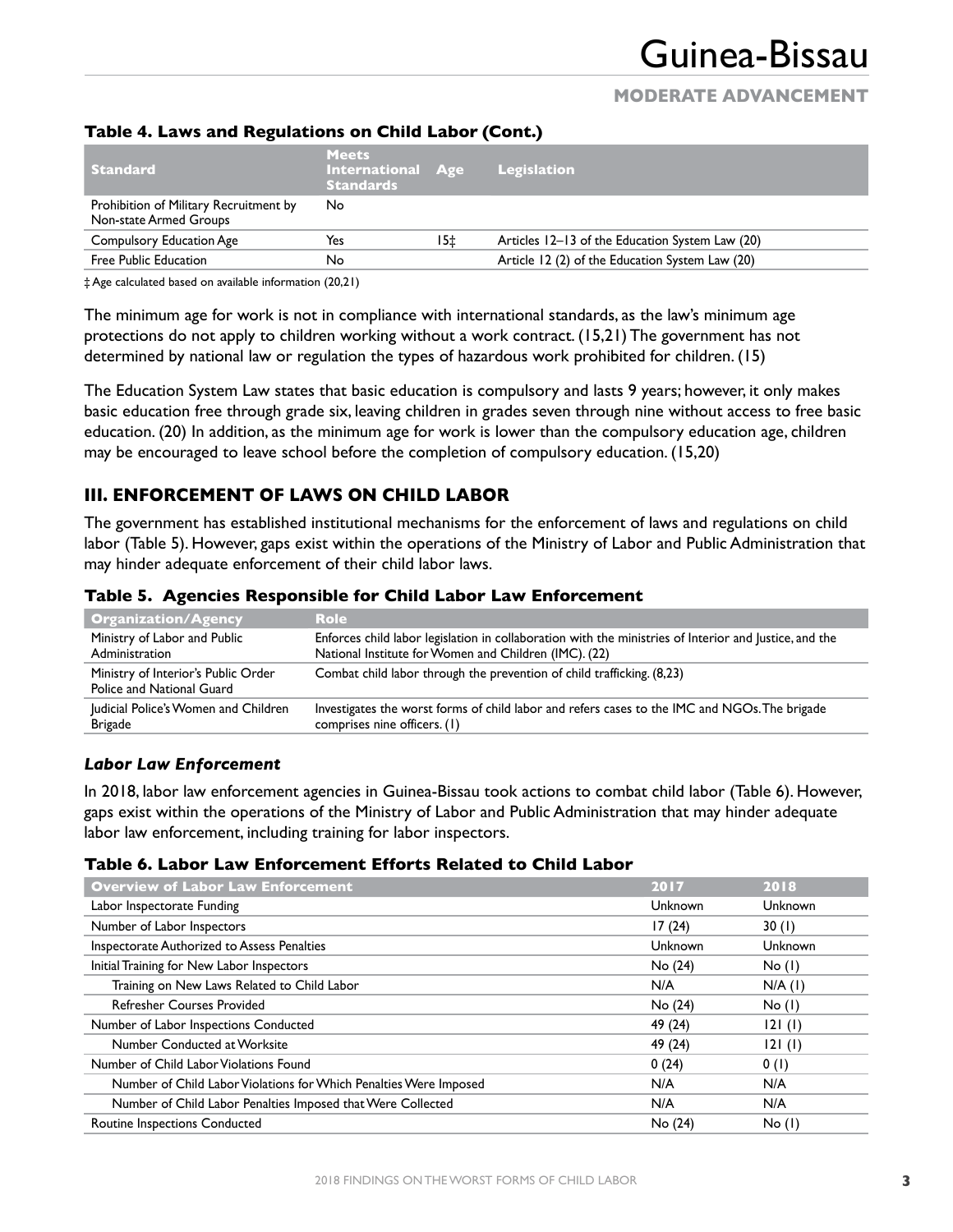# **MODERATE ADVANCEMENT**

| <b>Standard</b>                                                  | <b>Meets</b><br><b>International Age</b><br><b>Standards</b> |     | Legislation                                     |
|------------------------------------------------------------------|--------------------------------------------------------------|-----|-------------------------------------------------|
| Prohibition of Military Recruitment by<br>Non-state Armed Groups | No.                                                          |     |                                                 |
| Compulsory Education Age                                         | Yes                                                          | 15± | Articles 12–13 of the Education System Law (20) |
| Free Public Education                                            | No                                                           |     | Article 12 (2) of the Education System Law (20) |

### **Table 4. Laws and Regulations on Child Labor (Cont.)**

‡ Age calculated based on available information (20,21)

The minimum age for work is not in compliance with international standards, as the law's minimum age protections do not apply to children working without a work contract. (15,21) The government has not determined by national law or regulation the types of hazardous work prohibited for children. (15)

The Education System Law states that basic education is compulsory and lasts 9 years; however, it only makes basic education free through grade six, leaving children in grades seven through nine without access to free basic education. (20) In addition, as the minimum age for work is lower than the compulsory education age, children may be encouraged to leave school before the completion of compulsory education. (15,20)

# **III. ENFORCEMENT OF LAWS ON CHILD LABOR**

The government has established institutional mechanisms for the enforcement of laws and regulations on child labor (Table 5). However, gaps exist within the operations of the Ministry of Labor and Public Administration that may hinder adequate enforcement of their child labor laws.

| <b>Organization/Agency</b>                                       | <b>Role</b>                                                                                                                                                     |
|------------------------------------------------------------------|-----------------------------------------------------------------------------------------------------------------------------------------------------------------|
| Ministry of Labor and Public<br>Administration                   | Enforces child labor legislation in collaboration with the ministries of Interior and Justice, and the<br>National Institute for Women and Children (IMC). (22) |
| Ministry of Interior's Public Order<br>Police and National Guard | Combat child labor through the prevention of child trafficking. (8,23)                                                                                          |
| Judicial Police's Women and Children<br>Brigade                  | Investigates the worst forms of child labor and refers cases to the IMC and NGOs. The brigade<br>comprises nine officers. (1)                                   |
|                                                                  |                                                                                                                                                                 |

#### **Table 5. Agencies Responsible for Child Labor Law Enforcement**

#### *Labor Law Enforcement*

In 2018, labor law enforcement agencies in Guinea-Bissau took actions to combat child labor (Table 6). However, gaps exist within the operations of the Ministry of Labor and Public Administration that may hinder adequate labor law enforcement, including training for labor inspectors.

#### **Table 6. Labor Law Enforcement Efforts Related to Child Labor**

| <b>Overview of Labor Law Enforcement</b>                          | 2017    | 2018           |
|-------------------------------------------------------------------|---------|----------------|
| Labor Inspectorate Funding                                        | Unknown | Unknown        |
| Number of Labor Inspectors                                        | 17(24)  | 30(1)          |
| Inspectorate Authorized to Assess Penalties                       | Unknown | <b>Unknown</b> |
| Initial Training for New Labor Inspectors                         | No (24) | No(1)          |
| Training on New Laws Related to Child Labor                       | N/A     | $N/A$ (1)      |
| <b>Refresher Courses Provided</b>                                 | No (24) | No(1)          |
| Number of Labor Inspections Conducted                             | 49 (24) | 121(1)         |
| Number Conducted at Worksite                                      | 49 (24) | 121(1)         |
| Number of Child Labor Violations Found                            | 0(24)   | 0(1)           |
| Number of Child Labor Violations for Which Penalties Were Imposed | N/A     | N/A            |
| Number of Child Labor Penalties Imposed that Were Collected       | N/A     | N/A            |
| Routine Inspections Conducted                                     | No (24) | No(1)          |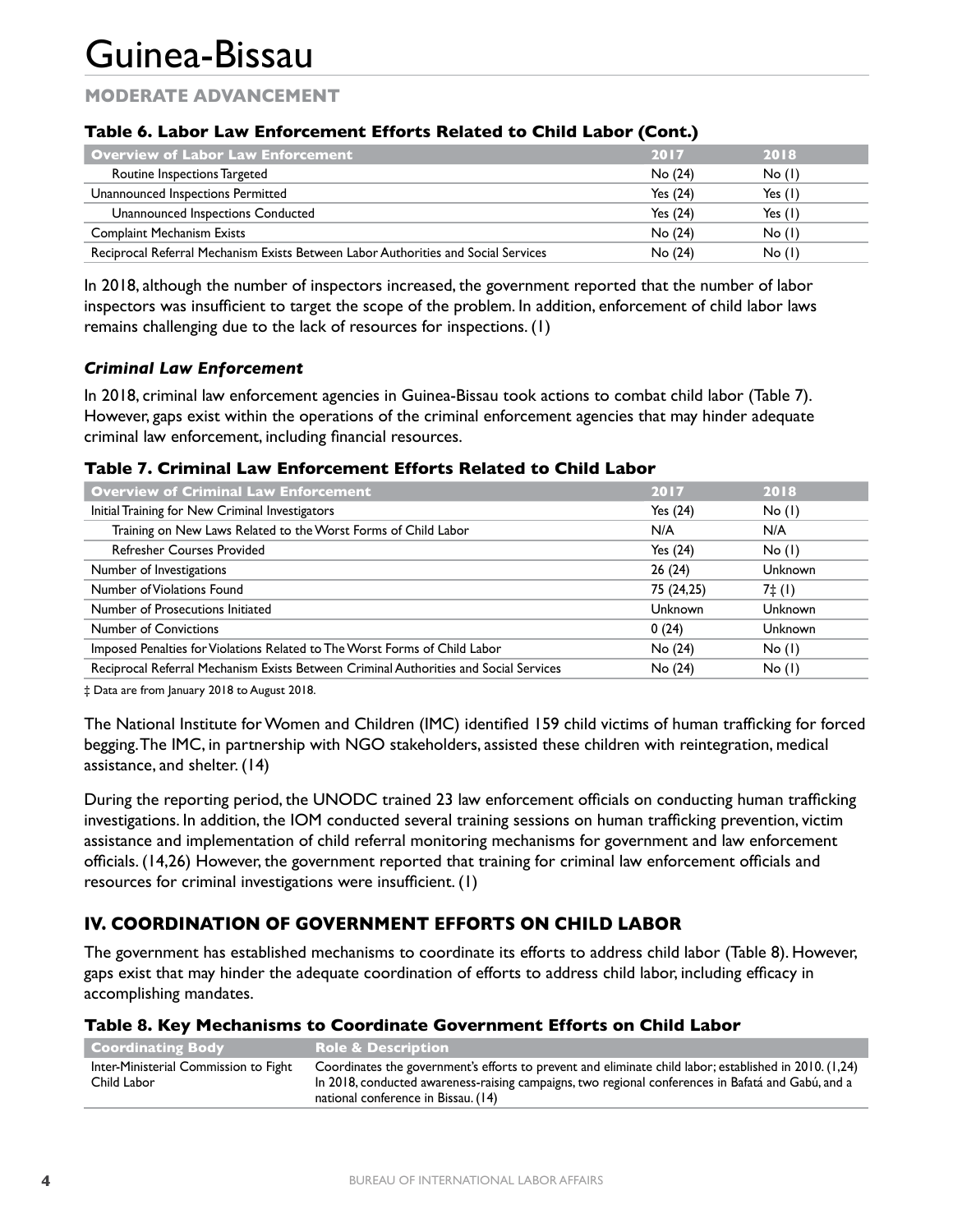# **MODERATE ADVANCEMENT**

## **Table 6. Labor Law Enforcement Efforts Related to Child Labor (Cont.)**

| Overview of Labor Law Enforcement                                                  | 2017       | 2018      |
|------------------------------------------------------------------------------------|------------|-----------|
| Routine Inspections Targeted                                                       | No (24)    | No(1)     |
| Unannounced Inspections Permitted                                                  | Yes $(24)$ | Yes $(1)$ |
| Unannounced Inspections Conducted                                                  | Yes $(24)$ | Yes $(1)$ |
| <b>Complaint Mechanism Exists</b>                                                  | No(24)     | No(1)     |
| Reciprocal Referral Mechanism Exists Between Labor Authorities and Social Services | No (24)    | No(1)     |

In 2018, although the number of inspectors increased, the government reported that the number of labor inspectors was insufficient to target the scope of the problem. In addition, enforcement of child labor laws remains challenging due to the lack of resources for inspections. (1)

### *Criminal Law Enforcement*

In 2018, criminal law enforcement agencies in Guinea-Bissau took actions to combat child labor (Table 7). However, gaps exist within the operations of the criminal enforcement agencies that may hinder adequate criminal law enforcement, including financial resources.

#### **Table 7. Criminal Law Enforcement Efforts Related to Child Labor**

| <b>Overview of Criminal Law Enforcement</b>                                           | 2017       | 2018           |
|---------------------------------------------------------------------------------------|------------|----------------|
| Initial Training for New Criminal Investigators                                       | Yes $(24)$ | No(1)          |
| Training on New Laws Related to the Worst Forms of Child Labor                        | N/A        | N/A            |
| <b>Refresher Courses Provided</b>                                                     | Yes $(24)$ | No(1)          |
| Number of Investigations                                                              | 26(24)     | Unknown        |
| Number of Violations Found                                                            | 75 (24,25) | 7‡(I)          |
| Number of Prosecutions Initiated                                                      | Unknown    | Unknown        |
| <b>Number of Convictions</b>                                                          | 0(24)      | <b>Unknown</b> |
| Imposed Penalties for Violations Related to The Worst Forms of Child Labor            | No (24)    | No(1)          |
| Reciprocal Referral Mechanism Exists Between Criminal Authorities and Social Services | No (24)    | No(1)          |

‡ Data are from January 2018 to August 2018.

The National Institute for Women and Children (IMC) identified 159 child victims of human trafficking for forced begging. The IMC, in partnership with NGO stakeholders, assisted these children with reintegration, medical assistance, and shelter. (14)

During the reporting period, the UNODC trained 23 law enforcement officials on conducting human trafficking investigations. In addition, the IOM conducted several training sessions on human trafficking prevention, victim assistance and implementation of child referral monitoring mechanisms for government and law enforcement officials. (14,26) However, the government reported that training for criminal law enforcement officials and resources for criminal investigations were insufficient. (1)

# **IV. COORDINATION OF GOVERNMENT EFFORTS ON CHILD LABOR**

The government has established mechanisms to coordinate its efforts to address child labor (Table 8). However, gaps exist that may hinder the adequate coordination of efforts to address child labor, including efficacy in accomplishing mandates.

## **Table 8. Key Mechanisms to Coordinate Government Efforts on Child Labor**

| Coordinating Body                                    | <b>Role &amp; Description</b>                                                                                                                                                                                                                       |
|------------------------------------------------------|-----------------------------------------------------------------------------------------------------------------------------------------------------------------------------------------------------------------------------------------------------|
| Inter-Ministerial Commission to Fight<br>Child Labor | Coordinates the government's efforts to prevent and eliminate child labor; established in 2010. (1,24)<br>In 2018, conducted awareness-raising campaigns, two regional conferences in Bafatá and Gabú, and a<br>national conference in Bissau. (14) |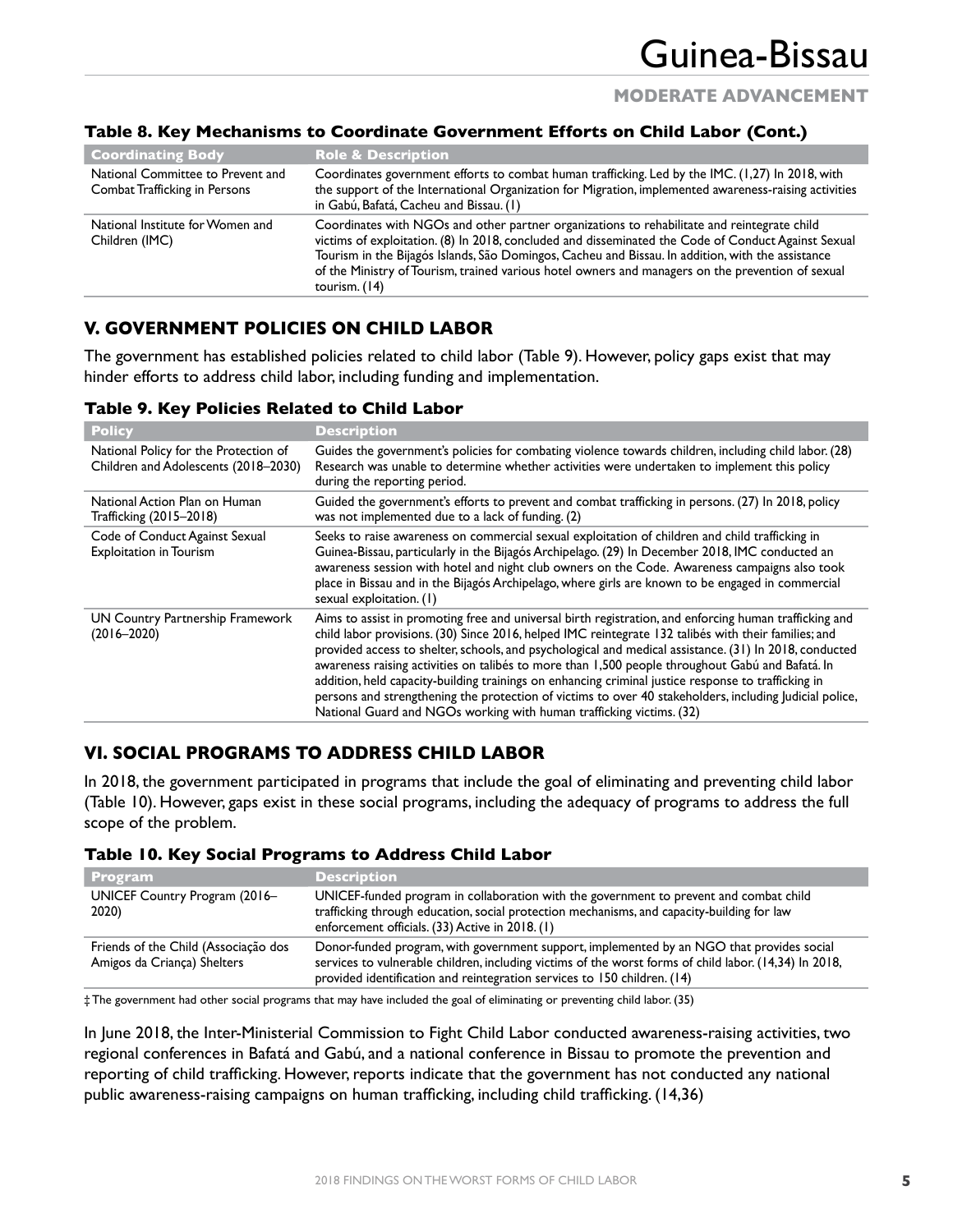## **MODERATE ADVANCEMENT**

| <b>Coordinating Body</b>                                           | <b>Role &amp; Description</b>                                                                                                                                                                                                                                                                                                                                                                                                 |
|--------------------------------------------------------------------|-------------------------------------------------------------------------------------------------------------------------------------------------------------------------------------------------------------------------------------------------------------------------------------------------------------------------------------------------------------------------------------------------------------------------------|
| National Committee to Prevent and<br>Combat Trafficking in Persons | Coordinates government efforts to combat human trafficking. Led by the IMC. (1,27) In 2018, with<br>the support of the International Organization for Migration, implemented awareness-raising activities<br>in Gabú, Bafatá, Cacheu and Bissau. (1)                                                                                                                                                                          |
| National Institute for Women and<br>Children (IMC)                 | Coordinates with NGOs and other partner organizations to rehabilitate and reintegrate child<br>victims of exploitation. (8) In 2018, concluded and disseminated the Code of Conduct Against Sexual<br>Tourism in the Bijagós Islands, São Domingos, Cacheu and Bissau. In addition, with the assistance<br>of the Ministry of Tourism, trained various hotel owners and managers on the prevention of sexual<br>tourism. (14) |

### **Table 8. Key Mechanisms to Coordinate Government Efforts on Child Labor (Cont.)**

# **V. GOVERNMENT POLICIES ON CHILD LABOR**

The government has established policies related to child labor (Table 9). However, policy gaps exist that may hinder efforts to address child labor, including funding and implementation.

| Table 9. Key Policies Related to Child Labor |  |
|----------------------------------------------|--|
|----------------------------------------------|--|

| <b>Policy</b>                                                                 | <b>Description</b>                                                                                                                                                                                                                                                                                                                                                                                                                                                                                                                                                                                                                                                                                                     |
|-------------------------------------------------------------------------------|------------------------------------------------------------------------------------------------------------------------------------------------------------------------------------------------------------------------------------------------------------------------------------------------------------------------------------------------------------------------------------------------------------------------------------------------------------------------------------------------------------------------------------------------------------------------------------------------------------------------------------------------------------------------------------------------------------------------|
| National Policy for the Protection of<br>Children and Adolescents (2018–2030) | Guides the government's policies for combating violence towards children, including child labor. (28)<br>Research was unable to determine whether activities were undertaken to implement this policy<br>during the reporting period.                                                                                                                                                                                                                                                                                                                                                                                                                                                                                  |
| National Action Plan on Human<br>Trafficking (2015–2018)                      | Guided the government's efforts to prevent and combat trafficking in persons. (27) In 2018, policy<br>was not implemented due to a lack of funding. (2)                                                                                                                                                                                                                                                                                                                                                                                                                                                                                                                                                                |
| Code of Conduct Against Sexual<br><b>Exploitation in Tourism</b>              | Seeks to raise awareness on commercial sexual exploitation of children and child trafficking in<br>Guinea-Bissau, particularly in the Bijagós Archipelago. (29) In December 2018, IMC conducted an<br>awareness session with hotel and night club owners on the Code. Awareness campaigns also took<br>place in Bissau and in the Bijagós Archipelago, where girls are known to be engaged in commercial<br>sexual exploitation. (1)                                                                                                                                                                                                                                                                                   |
| UN Country Partnership Framework<br>$(2016 - 2020)$                           | Aims to assist in promoting free and universal birth registration, and enforcing human trafficking and<br>child labor provisions. (30) Since 2016, helped IMC reintegrate 132 talibés with their families; and<br>provided access to shelter, schools, and psychological and medical assistance. (31) In 2018, conducted<br>awareness raising activities on talibés to more than 1,500 people throughout Gabú and Bafatá. In<br>addition, held capacity-building trainings on enhancing criminal justice response to trafficking in<br>persons and strengthening the protection of victims to over 40 stakeholders, including Judicial police,<br>National Guard and NGOs working with human trafficking victims. (32) |

## **VI. SOCIAL PROGRAMS TO ADDRESS CHILD LABOR**

In 2018, the government participated in programs that include the goal of eliminating and preventing child labor (Table 10). However, gaps exist in these social programs, including the adequacy of programs to address the full scope of the problem.

#### **Table 10. Key Social Programs to Address Child Labor**

| <b>Program</b>                                                      | <b>Description</b>                                                                                                                                                                                                                                                              |
|---------------------------------------------------------------------|---------------------------------------------------------------------------------------------------------------------------------------------------------------------------------------------------------------------------------------------------------------------------------|
| UNICEF Country Program (2016-<br>2020)                              | UNICEF-funded program in collaboration with the government to prevent and combat child<br>trafficking through education, social protection mechanisms, and capacity-building for law<br>enforcement officials. (33) Active in 2018. (1)                                         |
| Friends of the Child (Associação dos<br>Amigos da Criança) Shelters | Donor-funded program, with government support, implemented by an NGO that provides social<br>services to vulnerable children, including victims of the worst forms of child labor. (14,34) In 2018,<br>provided identification and reintegration services to 150 children. (14) |

‡ The government had other social programs that may have included the goal of eliminating or preventing child labor. (35)

In June 2018, the Inter-Ministerial Commission to Fight Child Labor conducted awareness-raising activities, two regional conferences in Bafatá and Gabú, and a national conference in Bissau to promote the prevention and reporting of child trafficking. However, reports indicate that the government has not conducted any national public awareness-raising campaigns on human trafficking, including child trafficking. (14,36)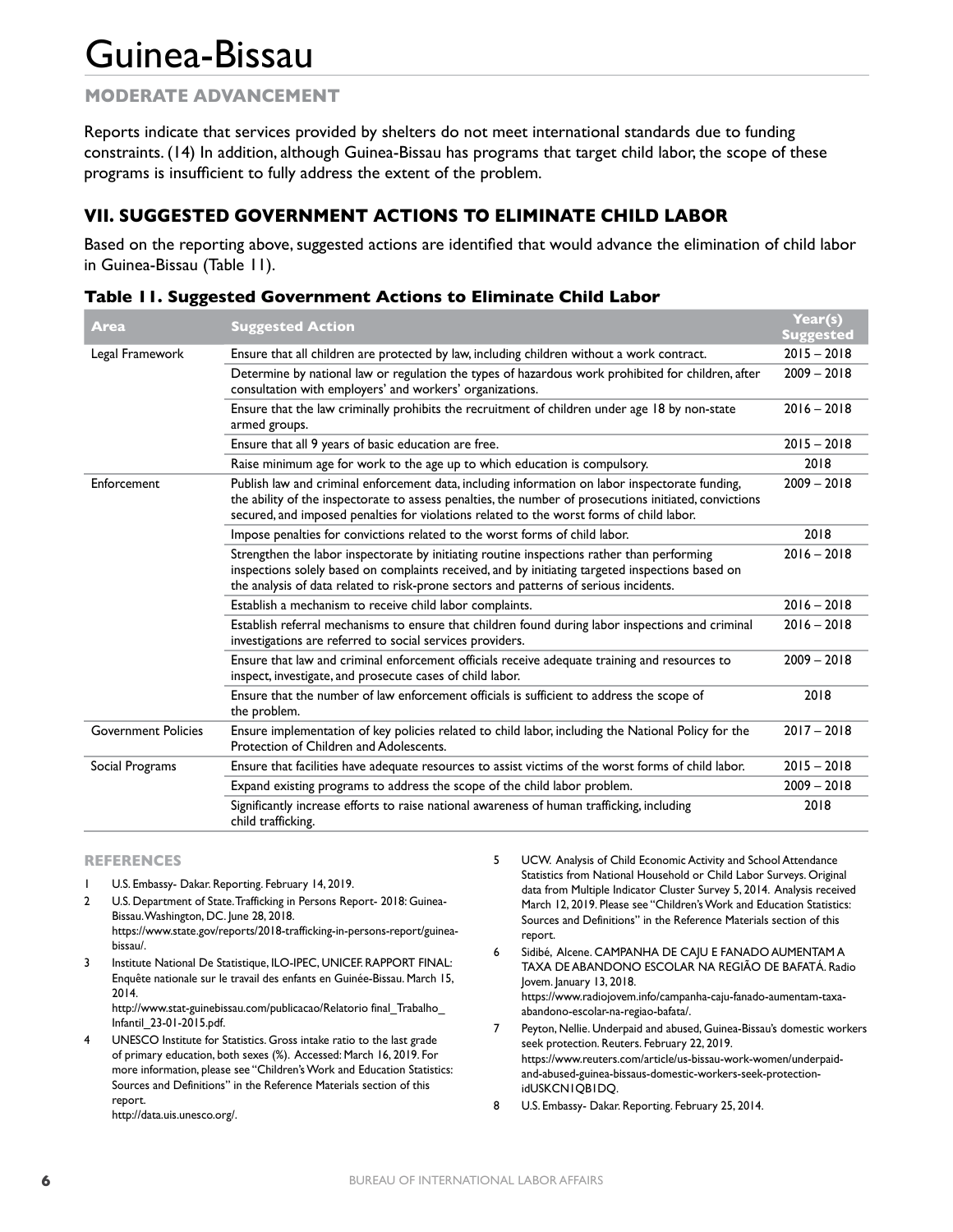# **MODERATE ADVANCEMENT**

Reports indicate that services provided by shelters do not meet international standards due to funding constraints. (14) In addition, although Guinea-Bissau has programs that target child labor, the scope of these programs is insufficient to fully address the extent of the problem.

# **VII. SUGGESTED GOVERNMENT ACTIONS TO ELIMINATE CHILD LABOR**

Based on the reporting above, suggested actions are identified that would advance the elimination of child labor in Guinea-Bissau (Table 11).

| Area                       | <b>Suggested Action</b>                                                                                                                                                                                                                                                                               | Year(s)<br><b>Suggested</b> |
|----------------------------|-------------------------------------------------------------------------------------------------------------------------------------------------------------------------------------------------------------------------------------------------------------------------------------------------------|-----------------------------|
| Legal Framework            | Ensure that all children are protected by law, including children without a work contract.                                                                                                                                                                                                            | $2015 - 2018$               |
|                            | Determine by national law or regulation the types of hazardous work prohibited for children, after<br>consultation with employers' and workers' organizations.                                                                                                                                        |                             |
|                            | Ensure that the law criminally prohibits the recruitment of children under age 18 by non-state<br>armed groups.                                                                                                                                                                                       | $2016 - 2018$               |
|                            | Ensure that all 9 years of basic education are free.                                                                                                                                                                                                                                                  | $2015 - 2018$               |
|                            | Raise minimum age for work to the age up to which education is compulsory.                                                                                                                                                                                                                            | 2018                        |
| Enforcement                | Publish law and criminal enforcement data, including information on labor inspectorate funding,<br>the ability of the inspectorate to assess penalties, the number of prosecutions initiated, convictions<br>secured, and imposed penalties for violations related to the worst forms of child labor. |                             |
|                            | Impose penalties for convictions related to the worst forms of child labor.                                                                                                                                                                                                                           | 2018                        |
|                            | Strengthen the labor inspectorate by initiating routine inspections rather than performing<br>inspections solely based on complaints received, and by initiating targeted inspections based on<br>the analysis of data related to risk-prone sectors and patterns of serious incidents.               |                             |
|                            | Establish a mechanism to receive child labor complaints.                                                                                                                                                                                                                                              | $2016 - 2018$               |
|                            | Establish referral mechanisms to ensure that children found during labor inspections and criminal<br>investigations are referred to social services providers.                                                                                                                                        | $2016 - 2018$               |
|                            | Ensure that law and criminal enforcement officials receive adequate training and resources to<br>inspect, investigate, and prosecute cases of child labor.                                                                                                                                            | $2009 - 2018$               |
|                            | Ensure that the number of law enforcement officials is sufficient to address the scope of<br>the problem.                                                                                                                                                                                             | 2018                        |
| <b>Government Policies</b> | Ensure implementation of key policies related to child labor, including the National Policy for the<br>Protection of Children and Adolescents.                                                                                                                                                        | $2017 - 2018$               |
| Social Programs            | Ensure that facilities have adequate resources to assist victims of the worst forms of child labor.                                                                                                                                                                                                   | $2015 - 2018$               |
|                            | Expand existing programs to address the scope of the child labor problem.                                                                                                                                                                                                                             | $2009 - 2018$               |
|                            | Significantly increase efforts to raise national awareness of human trafficking, including<br>child trafficking.                                                                                                                                                                                      | 2018                        |

|  |  |  | Table 11. Suggested Government Actions to Eliminate Child Labor |  |  |  |
|--|--|--|-----------------------------------------------------------------|--|--|--|
|--|--|--|-----------------------------------------------------------------|--|--|--|

#### **REFERENCES**

- 1 U.S. Embassy- Dakar. Reporting. February 14, 2019.
- 2 U.S. Department of State. Trafficking in Persons Report- 2018: Guinea-Bissau. Washington, DC. June 28, 2018. https://www.state.gov/reports/2018-trafficking-in-persons-report/guineabissau/.
- 3 Institute National De Statistique, ILO-IPEC, UNICEF. RAPPORT FINAL: Enquête nationale sur le travail des enfants en Guinée-Bissau. March 15, 2014.

http://www.stat-guinebissau.com/publicacao/Relatorio final\_Trabalho\_ Infantil\_23-01-2015.pdf.

- UNESCO Institute for Statistics. Gross intake ratio to the last grade of primary education, both sexes (%). Accessed: March 16, 2019. For more information, please see "Children's Work and Education Statistics: Sources and Definitions" in the Reference Materials section of this report.
	- http://data.uis.unesco.org/.

5 UCW. Analysis of Child Economic Activity and School Attendance Statistics from National Household or Child Labor Surveys. Original data from Multiple Indicator Cluster Survey 5, 2014. Analysis received March 12, 2019. Please see "Children's Work and Education Statistics: Sources and Definitions" in the Reference Materials section of this report.

6 Sidibé, Alcene. CAMPANHA DE CAJU E FANADO AUMENTAM A TAXA DE ABANDONO ESCOLAR NA REGIÃO DE BAFATÁ. Radio Jovem. January 13, 2018. https://www.radiojovem.info/campanha-caju-fanado-aumentam-taxa-

- abandono-escolar-na-regiao-bafata/. 7 Peyton, Nellie. Underpaid and abused, Guinea-Bissau's domestic workers seek protection. Reuters. February 22, 2019. https://www.reuters.com/article/us-bissau-work-women/underpaidand-abused-guinea-bissaus-domestic-workers-seek-protectionidUSKCN1QB1DQ.
- 8 U.S. Embassy- Dakar. Reporting. February 25, 2014.